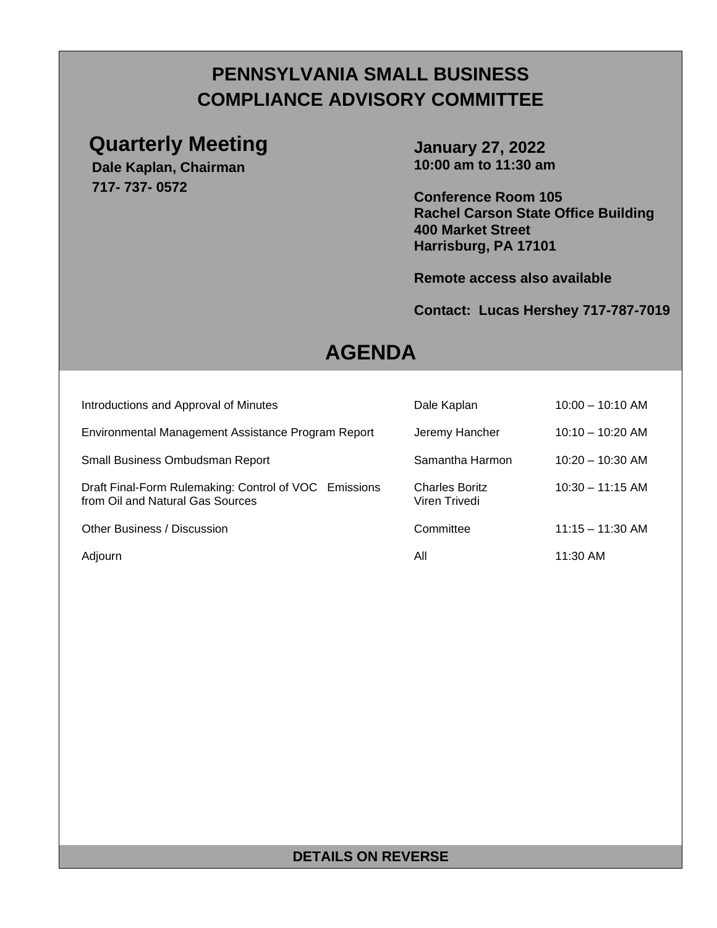## **PENNSYLVANIA SMALL BUSINESS COMPLIANCE ADVISORY COMMITTEE**

### **Quarterly Meeting**

**Dale Kaplan, Chairman 717- 737- 0572**

**January 27, 2022 10:00 am to 11:30 am**

**Conference Room 105 Rachel Carson State Office Building 400 Market Street Harrisburg, PA 17101**

**Remote access also available**

### **Contact: Lucas Hershey 717-787-7019**

## **AGENDA**

| Introductions and Approval of Minutes                                                     | Dale Kaplan                            | $10:00 - 10:10$ AM |
|-------------------------------------------------------------------------------------------|----------------------------------------|--------------------|
| Environmental Management Assistance Program Report                                        | Jeremy Hancher                         | $10:10 - 10:20$ AM |
| Small Business Ombudsman Report                                                           | Samantha Harmon                        | $10:20 - 10:30$ AM |
| Draft Final-Form Rulemaking: Control of VOC Emissions<br>from Oil and Natural Gas Sources | <b>Charles Boritz</b><br>Viren Trivedi | $10:30 - 11:15$ AM |
| Other Business / Discussion                                                               | Committee                              | $11:15 - 11:30$ AM |
| Adjourn                                                                                   | All                                    | 11:30 AM           |

### **DETAILS ON REVERSE**